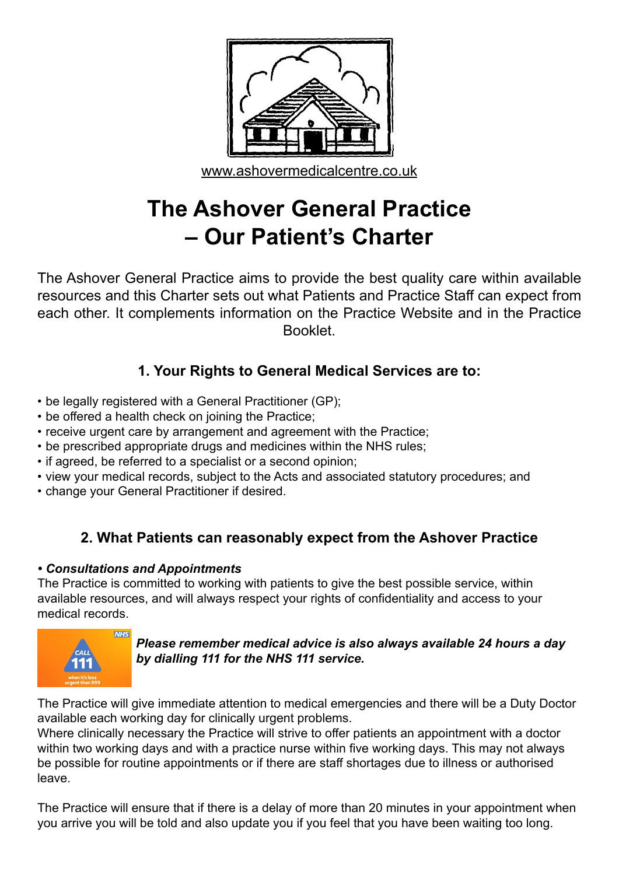

# **The Ashover General Practice – Our Patient's Charter**

The Ashover General Practice aims to provide the best quality care within available resources and this Charter sets out what Patients and Practice Staff can expect from each other. It complements information on the Practice Website and in the Practice Booklet.

# **1. Your Rights to General Medical Services are to:**

- be legally registered with a General Practitioner (GP);
- be offered a health check on joining the Practice;
- receive urgent care by arrangement and agreement with the Practice;
- be prescribed appropriate drugs and medicines within the NHS rules;
- if agreed, be referred to a specialist or a second opinion;
- view your medical records, subject to the Acts and associated statutory procedures; and
- change your General Practitioner if desired.

# **2. What Patients can reasonably expect from the Ashover Practice**

### *• Consultations and Appointments*

The Practice is committed to working with patients to give the best possible service, within available resources, and will always respect your rights of confidentiality and access to your medical records.



*Please remember medical advice is also always available 24 hours a day by dialling 111 for the NHS 111 service.*

The Practice will give immediate attention to medical emergencies and there will be a Duty Doctor available each working day for clinically urgent problems.

Where clinically necessary the Practice will strive to offer patients an appointment with a doctor within two working days and with a practice nurse within five working days. This may not always be possible for routine appointments or if there are staff shortages due to illness or authorised leave.

The Practice will ensure that if there is a delay of more than 20 minutes in your appointment when you arrive you will be told and also update you if you feel that you have been waiting too long.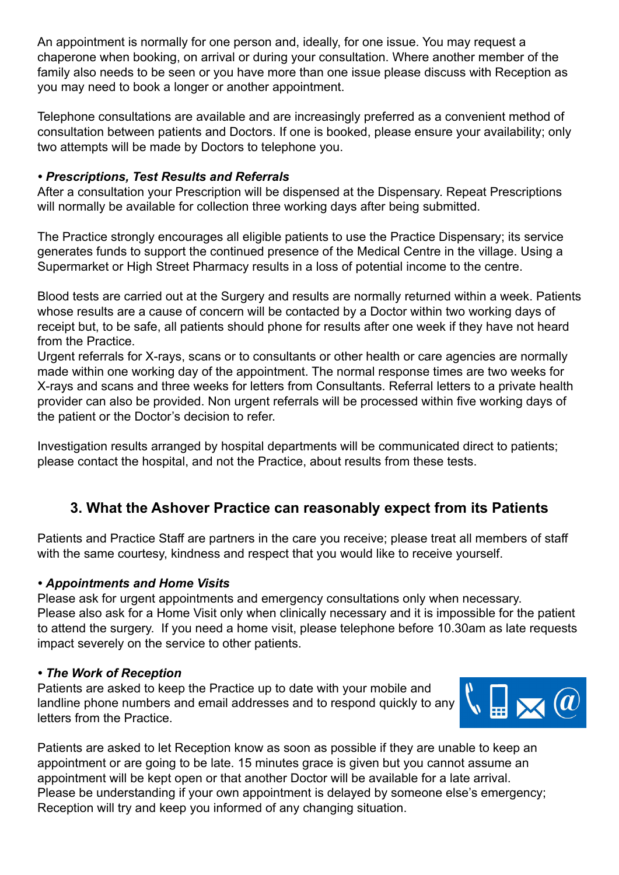An appointment is normally for one person and, ideally, for one issue. You may request a chaperone when booking, on arrival or during your consultation. Where another member of the family also needs to be seen or you have more than one issue please discuss with Reception as you may need to book a longer or another appointment.

Telephone consultations are available and are increasingly preferred as a convenient method of consultation between patients and Doctors. If one is booked, please ensure your availability; only two attempts will be made by Doctors to telephone you.

#### *• Prescriptions, Test Results and Referrals*

After a consultation your Prescription will be dispensed at the Dispensary. Repeat Prescriptions will normally be available for collection three working days after being submitted.

The Practice strongly encourages all eligible patients to use the Practice Dispensary; its service generates funds to support the continued presence of the Medical Centre in the village. Using a Supermarket or High Street Pharmacy results in a loss of potential income to the centre.

Blood tests are carried out at the Surgery and results are normally returned within a week. Patients whose results are a cause of concern will be contacted by a Doctor within two working days of receipt but, to be safe, all patients should phone for results after one week if they have not heard from the Practice.

Urgent referrals for X-rays, scans or to consultants or other health or care agencies are normally made within one working day of the appointment. The normal response times are two weeks for X-rays and scans and three weeks for letters from Consultants. Referral letters to a private health provider can also be provided. Non urgent referrals will be processed within five working days of the patient or the Doctor's decision to refer.

Investigation results arranged by hospital departments will be communicated direct to patients; please contact the hospital, and not the Practice, about results from these tests.

## **3. What the Ashover Practice can reasonably expect from its Patients**

Patients and Practice Staff are partners in the care you receive; please treat all members of staff with the same courtesy, kindness and respect that you would like to receive yourself.

#### *• Appointments and Home Visits*

Please ask for urgent appointments and emergency consultations only when necessary. Please also ask for a Home Visit only when clinically necessary and it is impossible for the patient to attend the surgery. If you need a home visit, please telephone before 10.30am as late requests impact severely on the service to other patients.

#### *• The Work of Reception*

Patients are asked to keep the Practice up to date with your mobile and landline phone numbers and email addresses and to respond quickly to any letters from the Practice.



Patients are asked to let Reception know as soon as possible if they are unable to keep an appointment or are going to be late. 15 minutes grace is given but you cannot assume an appointment will be kept open or that another Doctor will be available for a late arrival. Please be understanding if your own appointment is delayed by someone else's emergency; Reception will try and keep you informed of any changing situation.